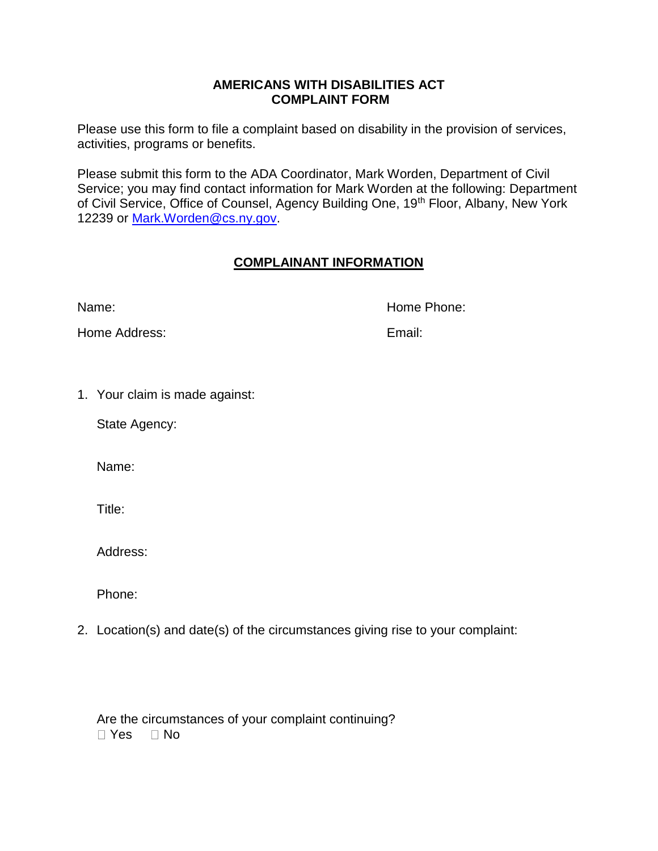## **AMERICANS WITH DISABILITIES ACT COMPLAINT FORM**

Please use this form to file a complaint based on disability in the provision of services, activities, programs or benefits.

Please submit this form to the ADA Coordinator, Mark Worden, Department of Civil Service; you may find contact information for Mark Worden at the following: Department of Civil Service, Office of Counsel, Agency Building One, 19<sup>th</sup> Floor, Albany, New York 12239 or [Mark.Worden@cs.ny.gov.](mailto:Mark.Worden@cs.ny.gov)

## **COMPLAINANT INFORMATION**

Name: Name: Name: Name: Name: Name: Name: Name: Name: Name: Name: Name: Name: Name: Name: Name: Name: Name: Name: Name: Name: Name: Name: Name: Name: Name: Name: Name: Name: Name: Name: Name: Name: Name: Name: Name: Name:

Home Address: Email:

1. Your claim is made against:

State Agency:

Name:

Title:

Address:

Phone:

2. Location(s) and date(s) of the circumstances giving rise to your complaint:

Are the circumstances of your complaint continuing?  $\Box$  Yes  $\Box$  No